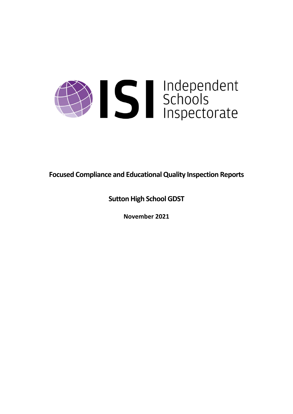

**Focused Compliance and EducationalQuality Inspection Reports**

**Sutton High School GDST**

**November 2021**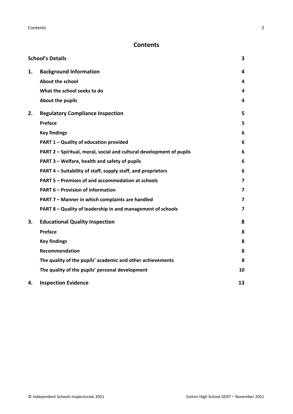# **Contents**

|    | <b>School's Details</b>                                              | 3                       |
|----|----------------------------------------------------------------------|-------------------------|
| 1. | <b>Background Information</b>                                        | 4                       |
|    | <b>About the school</b>                                              | 4                       |
|    | What the school seeks to do                                          | 4                       |
|    | About the pupils                                                     | 4                       |
| 2. | <b>Regulatory Compliance Inspection</b>                              | 5                       |
|    | Preface                                                              | 5                       |
|    | <b>Key findings</b>                                                  | 6                       |
|    | PART 1 - Quality of education provided                               | 6                       |
|    | PART 2 - Spiritual, moral, social and cultural development of pupils | 6                       |
|    | PART 3 - Welfare, health and safety of pupils                        | 6                       |
|    | PART 4 – Suitability of staff, supply staff, and proprietors         | 6                       |
|    | PART 5 - Premises of and accommodation at schools                    | $\overline{\mathbf{z}}$ |
|    | <b>PART 6 - Provision of information</b>                             | 7                       |
|    | PART 7 - Manner in which complaints are handled                      | 7                       |
|    | PART 8 - Quality of leadership in and management of schools          | $\overline{\mathbf{z}}$ |
| 3. | <b>Educational Quality Inspection</b>                                | 8                       |
|    | Preface                                                              | 8                       |
|    | <b>Key findings</b>                                                  | 8                       |
|    | <b>Recommendation</b>                                                | 8                       |
|    | The quality of the pupils' academic and other achievements           | 8                       |
|    | The quality of the pupils' personal development                      | 10                      |
| 4. | <b>Inspection Evidence</b>                                           | 13                      |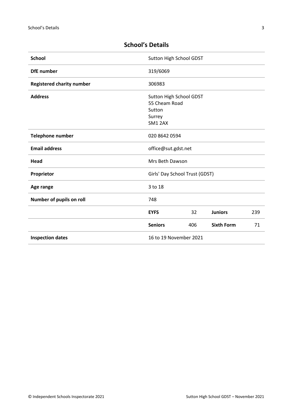| <b>School</b>                    | Sutton High School GDST                  |     |                   |     |
|----------------------------------|------------------------------------------|-----|-------------------|-----|
| <b>DfE</b> number                | 319/6069                                 |     |                   |     |
| <b>Registered charity number</b> | 306983                                   |     |                   |     |
| <b>Address</b>                   | Sutton High School GDST<br>55 Cheam Road |     |                   |     |
|                                  | Sutton                                   |     |                   |     |
|                                  | Surrey                                   |     |                   |     |
|                                  | SM1 2AX                                  |     |                   |     |
| <b>Telephone number</b>          | 020 8642 0594                            |     |                   |     |
| <b>Email address</b>             | office@sut.gdst.net                      |     |                   |     |
| Mrs Beth Dawson<br>Head          |                                          |     |                   |     |
| Proprietor                       | Girls' Day School Trust (GDST)           |     |                   |     |
| Age range                        | 3 to 18                                  |     |                   |     |
| Number of pupils on roll         | 748                                      |     |                   |     |
|                                  | <b>EYFS</b>                              | 32  | <b>Juniors</b>    | 239 |
|                                  | <b>Seniors</b>                           | 406 | <b>Sixth Form</b> | 71  |
| <b>Inspection dates</b>          | 16 to 19 November 2021                   |     |                   |     |

# <span id="page-2-0"></span>**School's Details**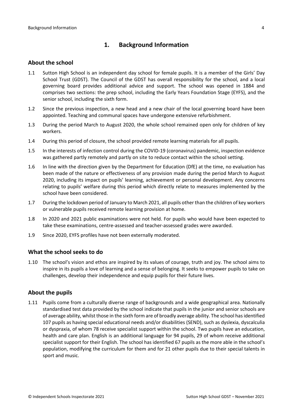# <span id="page-3-0"></span>**1. Background Information**

#### <span id="page-3-1"></span>**About the school**

- 1.1 Sutton High School is an independent day school for female pupils. It is a member of the Girls' Day School Trust (GDST). The Council of the GDST has overall responsibility for the school, and a local governing board provides additional advice and support. The school was opened in 1884 and comprises two sections: the prep school, including the Early Years Foundation Stage (EYFS), and the senior school, including the sixth form.
- 1.2 Since the previous inspection, a new head and a new chair of the local governing board have been appointed. Teaching and communal spaces have undergone extensive refurbishment.
- 1.3 During the period March to August 2020, the whole school remained open only for children of key workers.
- 1.4 During this period of closure, the school provided remote learning materials for all pupils.
- 1.5 In the interests of infection control during the COVID-19 (coronavirus) pandemic, inspection evidence was gathered partly remotely and partly on site to reduce contact within the school setting.
- 1.6 In line with the direction given by the Department for Education (DfE) at the time, no evaluation has been made of the nature or effectiveness of any provision made during the period March to August 2020, including its impact on pupils' learning, achievement or personal development. Any concerns relating to pupils' welfare during this period which directly relate to measures implemented by the school have been considered.
- 1.7 During the lockdown period of January to March 2021, all pupils other than the children of key workers or vulnerable pupils received remote learning provision at home.
- 1.8 In 2020 and 2021 public examinations were not held. For pupils who would have been expected to take these examinations, centre-assessed and teacher-assessed grades were awarded.
- 1.9 Since 2020, EYFS profiles have not been externally moderated.

#### <span id="page-3-2"></span>**What the school seeks to do**

1.10 The school's vision and ethos are inspired by its values of courage, truth and joy. The school aims to inspire in its pupils a love of learning and a sense of belonging. It seeks to empower pupils to take on challenges, develop their independence and equip pupils for their future lives.

#### <span id="page-3-3"></span>**About the pupils**

1.11 Pupils come from a culturally diverse range of backgrounds and a wide geographical area. Nationally standardised test data provided by the school indicate that pupils in the junior and senior schools are of average ability, whilst those in the sixth form are of broadly average ability. The school hasidentified 107 pupils as having special educational needs and/or disabilities (SEND), such as dyslexia, dyscalculia or dyspraxia, of whom 78 receive specialist support within the school. Two pupils have an education, health and care plan. English is an additional language for 94 pupils, 29 of whom receive additional specialist support for their English. The school has identified 67 pupils as the more able in the school's population, modifying the curriculum for them and for 21 other pupils due to their special talents in sport and music.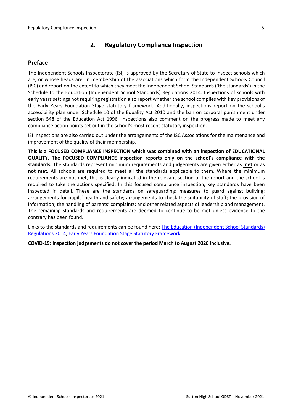# <span id="page-4-0"></span>**2. Regulatory Compliance Inspection**

### <span id="page-4-1"></span>**Preface**

The Independent Schools Inspectorate (ISI) is approved by the Secretary of State to inspect schools which are, or whose heads are, in membership of the associations which form the Independent Schools Council (ISC) and report on the extent to which they meet the Independent School Standards ('the standards') in the Schedule to the Education (Independent School Standards) Regulations 2014. Inspections of schools with early years settings not requiring registration also report whether the school complies with key provisions of the Early Years Foundation Stage statutory framework. Additionally, inspections report on the school's accessibility plan under Schedule 10 of the Equality Act 2010 and the ban on corporal punishment under section 548 of the Education Act 1996. Inspections also comment on the progress made to meet any compliance action points set out in the school's most recent statutory inspection.

ISI inspections are also carried out under the arrangements of the ISC Associations for the maintenance and improvement of the quality of their membership.

**This is a FOCUSED COMPLIANCE INSPECTION which was combined with an inspection of EDUCATIONAL QUALITY. The FOCUSED COMPLIANCE inspection reports only on the school's compliance with the standards.** The standards represent minimum requirements and judgements are given either as **met** or as **not met**. All schools are required to meet all the standards applicable to them. Where the minimum requirements are not met, this is clearly indicated in the relevant section of the report and the school is required to take the actions specified. In this focused compliance inspection, key standards have been inspected in detail. These are the standards on safeguarding; measures to guard against bullying; arrangements for pupils' health and safety; arrangements to check the suitability of staff; the provision of information; the handling of parents' complaints; and other related aspects of leadership and management. The remaining standards and requirements are deemed to continue to be met unless evidence to the contrary has been found.

Links to the standards and requirements can be found here: The Education [\(Independent](http://www.legislation.gov.uk/uksi/2014/3283/contents/made) School Standards) [Regulations](http://www.legislation.gov.uk/uksi/2014/3283/contents/made) 2014, Early Years Foundation Stage Statutory [Framework.](https://www.gov.uk/government/publications/early-years-foundation-stage-framework--2)

**COVID-19: Inspection judgements do not cover the period March to August 2020 inclusive.**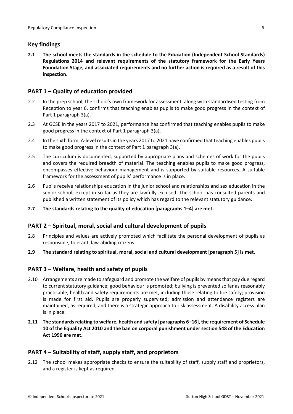### <span id="page-5-0"></span>**Key findings**

**2.1 The school meets the standards in the schedule to the Education (Independent School Standards) Regulations 2014 and relevant requirements of the statutory framework for the Early Years Foundation Stage, and associated requirements and no further action is required as a result of this inspection.**

# <span id="page-5-1"></span>**PART 1 – Quality of education provided**

- 2.2 In the prep school, the school's own framework for assessment, along with standardised testing from Reception to year 6, confirms that teaching enables pupils to make good progress in the context of Part 1 paragraph 3(a).
- 2.3 At GCSE in the years 2017 to 2021, performance has confirmed that teaching enables pupils to make good progress in the context of Part 1 paragraph 3(a).
- 2.4 In the sixth form, A-level results in the years 2017 to 2021 have confirmed that teaching enables pupils to make good progress in the context of Part 1 paragraph 3(a).
- 2.5 The curriculum is documented, supported by appropriate plans and schemes of work for the pupils and covers the required breadth of material. The teaching enables pupils to make good progress, encompasses effective behaviour management and is supported by suitable resources. A suitable framework for the assessment of pupils' performance is in place.
- 2.6 Pupils receive relationships education in the junior school and relationships and sex education in the senior school, except in so far as they are lawfully excused. The school has consulted parents and published a written statement of its policy which has regard to the relevant statutory guidance.
- **2.7 The standards relating to the quality of education [paragraphs 1–4] are met.**

# <span id="page-5-2"></span>**PART 2 – Spiritual, moral, social and cultural development of pupils**

- 2.8 Principles and values are actively promoted which facilitate the personal development of pupils as responsible, tolerant, law-abiding citizens.
- **2.9 The standard relating to spiritual, moral, social and cultural development [paragraph 5] is met.**

# <span id="page-5-3"></span>**PART 3 – Welfare, health and safety of pupils**

- 2.10 Arrangements are made to safeguard and promote the welfare of pupils by meansthat pay due regard to current statutory guidance; good behaviour is promoted; bullying is prevented so far as reasonably practicable; health and safety requirements are met, including those relating to fire safety; provision is made for first aid. Pupils are properly supervised; admission and attendance registers are maintained, as required, and there is a strategic approach to risk assessment. A disability access plan is in place.
- **2.11 The standardsrelating to welfare, health and safety [paragraphs 6–16], the requirement of Schedule 10 of the Equality Act 2010 and the ban on corporal punishment under section 548 of the Education Act 1996 are met.**

# <span id="page-5-4"></span>**PART 4 – Suitability of staff, supply staff, and proprietors**

2.12 The school makes appropriate checks to ensure the suitability of staff, supply staff and proprietors, and a register is kept as required.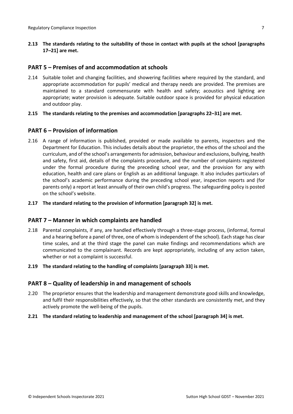### <span id="page-6-0"></span>**PART 5 – Premises of and accommodation at schools**

2.14 Suitable toilet and changing facilities, and showering facilities where required by the standard, and appropriate accommodation for pupils' medical and therapy needs are provided. The premises are maintained to a standard commensurate with health and safety; acoustics and lighting are appropriate; water provision is adequate. Suitable outdoor space is provided for physical education and outdoor play.

#### **2.15 The standards relating to the premises and accommodation [paragraphs 22–31] are met.**

### <span id="page-6-1"></span>**PART 6 – Provision of information**

2.16 A range of information is published, provided or made available to parents, inspectors and the Department for Education. This includes details about the proprietor, the ethos of the school and the curriculum, and of the school's arrangementsfor admission, behaviour and exclusions, bullying, health and safety, first aid, details of the complaints procedure, and the number of complaints registered under the formal procedure during the preceding school year, and the provision for any with education, health and care plans or English as an additional language. It also includes particulars of the school's academic performance during the preceding school year, inspection reports and (for parents only) a report at least annually of their own child's progress. The safeguarding policy is posted on the school's website.

#### **2.17 The standard relating to the provision of information [paragraph 32] is met.**

#### <span id="page-6-2"></span>**PART 7 – Manner in which complaints are handled**

- 2.18 Parental complaints, if any, are handled effectively through a three-stage process, (informal, formal and a hearing before a panel of three, one of whom is independent of the school). Each stage has clear time scales, and at the third stage the panel can make findings and recommendations which are communicated to the complainant. Records are kept appropriately, including of any action taken, whether or not a complaint is successful.
- **2.19 The standard relating to the handling of complaints [paragraph 33] is met.**

#### <span id="page-6-3"></span>**PART 8 – Quality of leadership in and management of schools**

- 2.20 The proprietor ensures that the leadership and management demonstrate good skills and knowledge, and fulfil their responsibilities effectively, so that the other standards are consistently met, and they actively promote the well-being of the pupils.
- **2.21 The standard relating to leadership and management of the school [paragraph 34] is met.**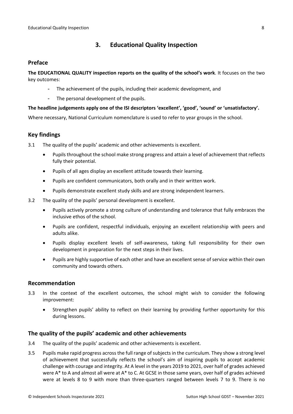# <span id="page-7-0"></span>**3. Educational Quality Inspection**

### <span id="page-7-1"></span>**Preface**

**The EDUCATIONAL QUALITY inspection reports on the quality of the school's work**. It focuses on the two key outcomes:

- The achievement of the pupils, including their academic development, and
- The personal development of the pupils.

### **The headline judgements apply one of the ISI descriptors 'excellent', 'good', 'sound' or 'unsatisfactory'.**

Where necessary, National Curriculum nomenclature is used to refer to year groups in the school.

# <span id="page-7-2"></span>**Key findings**

- 3.1 The quality of the pupils' academic and other achievements is excellent.
	- Pupils throughout the school make strong progress and attain a level of achievement that reflects fully their potential.
	- Pupils of all ages display an excellent attitude towards their learning.
	- Pupils are confident communicators, both orally and in their written work.
	- Pupils demonstrate excellent study skills and are strong independent learners.
- 3.2 The quality of the pupils' personal development is excellent.
	- Pupils actively promote a strong culture of understanding and tolerance that fully embraces the inclusive ethos of the school.
	- Pupils are confident, respectful individuals, enjoying an excellent relationship with peers and adults alike.
	- Pupils display excellent levels of self-awareness, taking full responsibility for their own development in preparation for the next steps in their lives.
	- Pupils are highly supportive of each other and have an excellent sense of service within their own community and towards others.

### <span id="page-7-3"></span>**Recommendation**

- 3.3 In the context of the excellent outcomes, the school might wish to consider the following improvement:
	- Strengthen pupils' ability to reflect on their learning by providing further opportunity for this during lessons.

# <span id="page-7-4"></span>**The quality of the pupils' academic and other achievements**

- 3.4 The quality of the pupils' academic and other achievements is excellent.
- 3.5 Pupils make rapid progress acrossthe full range ofsubjectsin the curriculum. They show a strong level of achievement that successfully reflects the school's aim of inspiring pupils to accept academic challenge with courage and integrity. At A level in the years 2019 to 2021, over half of grades achieved were A\* to A and almost all were at A\* to C. At GCSE in those same years, over half of grades achieved were at levels 8 to 9 with more than three-quarters ranged between levels 7 to 9. There is no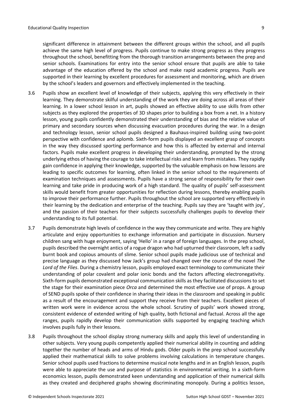3.6 Pupils show an excellent level of knowledge of their subjects, applying this very effectively in their learning. They demonstrate skilful understanding of the work they are doing across all areas of their learning. In a lower school lesson in art, pupils showed an effective ability to use skills from other subjects as they explored the properties of 3D shapes prior to building a box from a net. In a history lesson, young pupils confidently demonstrated their understanding of bias and the relative value of primary and secondary sources when discussing evacuation procedures during the war. In a design and technology lesson, senior school pupils designed a Bauhaus-inspired building using two-point perspective with confidence and aplomb. Sixth-form pupils displayed an excellent grasp of concepts in the way they discussed sporting performance and how this is affected by external and internal factors. Pupils make excellent progress in developing their understanding, prompted by the strong underlying ethos of having the courage to take intellectual risks and learn from mistakes. They rapidly gain confidence in applying their knowledge, supported by the valuable emphasis on how lessons are leading to specific outcomes for learning, often linked in the senior school to the requirements of examination techniques and assessments. Pupils have a strong sense of responsibility for their own learning and take pride in producing work of a high standard. The quality of pupils' self-assessment skills would benefit from greater opportunities for reflection during lessons, thereby enabling pupils to improve their performance further. Pupils throughout the school are supported very effectively in their learning by the dedication and enterprise of the teaching. Pupils say they are 'taught with joy', and the passion of their teachers for their subjects successfully challenges pupils to develop their understanding to its full potential.

supported in their learning by excellent procedures for assessment and monitoring, which are driven

by the school's leaders and governors and effectively implemented in the teaching.

- 3.7 Pupils demonstrate high levels of confidence in the way they communicate and write. They are highly articulate and enjoy opportunities to exchange information and participate in discussion. Nursery children sang with huge enjoyment, saying 'Hello' in a range of foreign languages. In the prep school, pupils described the overnight antics of a rogue dragon who had upturned their classroom, left a sadly burnt book and copious amounts of slime. Senior school pupils made judicious use of technical and precise language as they discussed how Jack's group had changed over the course of the novel *The Lord of the Flies*. During a chemistry lesson, pupils employed exact terminology to communicate their understanding of polar covalent and polar ionic bonds and the factors affecting electronegativity. Sixth-form pupils demonstrated exceptional communication skills as they facilitated discussions to set the stage for their examination piece *Orca* and determined the most effective use of props. A group of SEND pupils spoke of their confidence in sharing their ideas in the classroom and speaking in public as a result of the encouragement and support they receive from their teachers. Excellent pieces of written work were in evidence across the whole school. Scrutiny of pupils' work showed strong, consistent evidence of extended writing of high quality, both fictional and factual. Across all the age ranges, pupils rapidly develop their communication skills supported by engaging teaching which involves pupils fully in their lessons.
- 3.8 Pupils throughout the school display strong numeracy skills and apply this level of understanding in other subjects. Very young pupils competently applied their numerical ability in counting and adding together the number of heads and arms of Hindu gods. Older pupils in the prep school successfully applied their mathematical skills to solve problems involving calculations in temperature changes. Senior school pupils used fractions to determine musical note lengths and in an English lesson, pupils were able to appreciate the use and purpose of statistics in environmental writing. In a sixth-form economics lesson, pupils demonstrated keen understanding and application of their numerical skills as they created and deciphered graphs showing discriminating monopoly. During a politics lesson,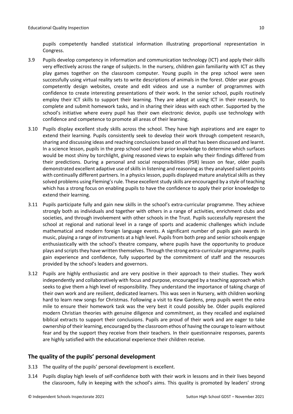pupils competently handled statistical information illustrating proportional representation in Congress.

- 3.9 Pupils develop competency in information and communication technology (ICT) and apply their skills very effectively across the range of subjects. In the nursery, children gain familiarity with ICT as they play games together on the classroom computer. Young pupils in the prep school were seen successfully using virtual reality sets to write descriptions of animals in the forest. Older year groups competently design websites, create and edit videos and use a number of programmes with confidence to create interesting presentations of their work. In the senior school, pupils routinely employ their ICT skills to support their learning. They are adept at using ICT in their research, to complete and submit homework tasks, and in sharing their ideas with each other. Supported by the school's initiative where every pupil has their own electronic device, pupils use technology with confidence and competence to promote all areas of their learning.
- 3.10 Pupils display excellent study skills across the school. They have high aspirations and are eager to extend their learning. Pupils consistently seek to develop their work through competent research, sharing and discussing ideas and reaching conclusions based on all that has been discussed and learnt. In a science lesson, pupils in the prep school used their prior knowledge to determine which surfaces would be most shiny by torchlight, giving reasoned views to explain why their findings differed from their predictions. During a personal and social responsibilities (PSR) lesson on fear, older pupils demonstrated excellent adaptive use of skills in listening and reasoning as they analysed salient points with continually different partners. In a physics lesson, pupils displayed mature analytical skills asthey solved problems using Fleming's rule. These excellent study skills are encouraged by a style of teaching which has a strong focus on enabling pupils to have the confidence to apply their prior knowledge to extend their learning.
- 3.11 Pupils participate fully and gain new skills in the school's extra-curricular programme. They achieve strongly both as individuals and together with others in a range of activities, enrichment clubs and societies, and through involvement with other schools in the Trust. Pupils successfully represent the school at regional and national level in a range of sports and academic challenges which include mathematical and modern foreign language events. A significant number of pupils gain awards in music, playing a range of instruments at a high level. Pupils from both prep and senior schools engage enthusiastically with the school's theatre company, where pupils have the opportunity to produce plays and scripts they have written themselves. Through the strong extra-curricular programme, pupils gain experience and confidence, fully supported by the commitment of staff and the resources provided by the school's leaders and governors.
- 3.12 Pupils are highly enthusiastic and are very positive in their approach to their studies. They work independently and collaboratively with focus and purpose, encouraged by a teaching approach which seeks to give them a high level of responsibility. They understand the importance of taking charge of their own work and are resilient, dedicated learners. This was seen in Nursery, with children working hard to learn new songs for Christmas. Following a visit to Kew Gardens, prep pupils went the extra mile to ensure their homework task was the very best it could possibly be. Older pupils explored modern Christian theories with genuine diligence and commitment, as they recalled and explained biblical extracts to support their conclusions. Pupils are proud of their work and are eager to take ownership of their learning, encouraged by the classroom ethos of having the courage to learn without fear and by the support they receive from their teachers. In their questionnaire responses, parents are highly satisfied with the educational experience their children receive.

### <span id="page-9-0"></span>**The quality of the pupils' personal development**

- 3.13 The quality of the pupils' personal development is excellent.
- 3.14 Pupils display high levels of self-confidence both with their work in lessons and in their lives beyond the classroom, fully in keeping with the school's aims. This quality is promoted by leaders' strong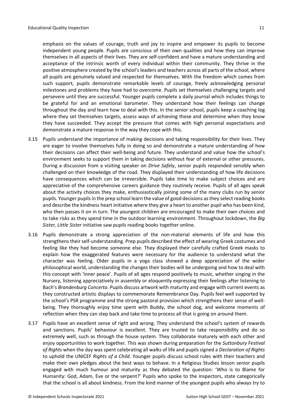emphasis on the values of courage, truth and joy to inspire and empower its pupils to become independent young people. Pupils are conscious of their own qualities and how they can improve themselves in all aspects of their lives. They are self-confident and have a mature understanding and acceptance of the intrinsic worth of every individual within their community. They thrive in the positive atmosphere created by the school's leaders and teachers across all parts of the school, where all pupils are genuinely valued and respected for themselves. With the freedom which comes from such support, pupils demonstrate remarkable levels of courage, freely acknowledging personal milestones and problems they have had to overcome. Pupils set themselves challenging targets and persevere until they are successful. Younger pupils complete a daily journal which includes things to be grateful for and an emotional barometer. They understand how their feelings can change throughout the day and learn how to deal with this. In the senior school, pupils keep a coaching log where they set themselves targets, assess ways of achieving these and determine when they know they have succeeded. They accept the pressure that comes with high personal expectations and demonstrate a mature response in the way they cope with this.

- 3.15 Pupils understand the importance of making decisions and taking responsibility for their lives. They are eager to involve themselves fully in doing so and demonstrate a mature understanding of how their decisions can affect their well-being and future. They understand and value how the school's environment seeks to support them in taking decisions without fear of external or other pressures. During a discussion from a visiting speaker on *Drive Safely*, senior pupils responded sensibly when challenged on their knowledge of the road. They displayed their understanding of how life decisions have consequences which can be irreversible. Pupils take time to make subject choices and are appreciative of the comprehensive careers guidance they routinely receive. Pupils of all ages speak about the activity choices they make, enthusiastically joining some of the many clubs run by senior pupils. Younger pupilsin the prep school learn the value of good decisions asthey select reading books and describe the kindness heart initiative where they give a heart to another pupil who has been kind, who then passes it on in turn. The youngest children are encouraged to make their own choices and to take risks as they spend time in the outdoor learning environment. Throughout lockdown, the *Big Sister, Little Sister* initiative saw pupils reading books together online.
- 3.16 Pupils demonstrate a strong appreciation of the non-material elements of life and how this strengthens their self-understanding. Prep pupils described the effect of wearing Greek costumes and feeling like they had become someone else. They displayed their carefully crafted Greek masks to explain how the exaggerated features were necessary for the audience to understand what the character was feeling. Older pupils in a yoga class showed a deep appreciation of the wider philosophical world, understanding the changes their bodies will be undergoing and how to deal with this concept with 'inner peace'. Pupils of all ages respond positively to music, whether singing in the Nursery, listening appreciatively in assembly or eloquently expressing their feelings after listening to Bach's *Brandenburg Concerto*. Pupils discuss artwork with maturity and engage with current events as they constructed artistic displays to commemorate Remembrance Day. Pupils feel well supported by the school's PSR programme and the strong pastoral provision which strengthens their sense of wellbeing. They thoroughly enjoy time spent with Buddy, the school dog, and welcome moments of reflection when they can step back and take time to process all that is going on around them.
- 3.17 Pupils have an excellent sense of right and wrong. They understand the school's system of rewards and sanctions. Pupils' behaviour is excellent. They are trusted to take responsibility and do so extremely well, such as through the house system. They collaborate maturely with each other and enjoy opportunities to work together. This was shown during preparation for the *Suttonbury Festival of Rights* when the day was spent celebrating all walks of life and pupils signed a *Declaration of Rights* to uphold the UNICEF *Rights of a Child*. Younger pupils discuss school rules with their teachers and make their own pledges about the best ways to behave. In a Religious Studies lesson senior pupils engaged with much humour and maturity as they debated the question: 'Who is to Blame for Humanity: God, Adam, Eve or the serpent?' Pupils who spoke to the inspectors, state categorically that the school is all about kindness. From the kind manner of the youngest pupils who always try to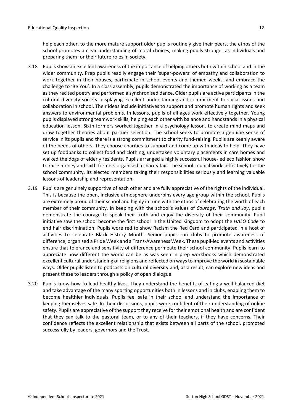help each other, to the more mature support older pupils routinely give their peers, the ethos of the school promotes a clear understanding of moral choices, making pupils stronger as individuals and preparing them for their future roles in society.

- 3.18 Pupils show an excellent awareness of the importance of helping others both within school and in the wider community. Prep pupils readily engage their 'super-powers' of empathy and collaboration to work together in their houses, participate in school events and themed weeks, and embrace the challenge to 'Be You'. In a class assembly, pupils demonstrated the importance of working as a team as they recited poetry and performed a synchronised dance. Older pupils are active participants in the cultural diversity society, displaying excellent understanding and commitment to social issues and collaboration in school. Their ideas include initiatives to support and promote human rights and seek answers to environmental problems. In lessons, pupils of all ages work effectively together. Young pupils displayed strong teamwork skills, helping each other with balance and handstands in a physical education lesson. Sixth formers worked together in a psychology lesson, to create mind maps and draw together theories about partner selection. The school seeks to promote a genuine sense of service in its pupils and there is a strong commitment to charity fund-raising. Pupils are keenly aware of the needs of others. They choose charities to support and come up with ideas to help. They have set up foodbanks to collect food and clothing, undertaken voluntary placements in care homes and walked the dogs of elderly residents. Pupils arranged a highly successful house-led eco fashion show to raise money and sixth formers organised a charity fair. The school council works effectively for the school community, its elected members taking their responsibilities seriously and learning valuable lessons of leadership and representation.
- 3.19 Pupils are genuinely supportive of each other and are fully appreciative of the rights of the individual. This is because the open, inclusive atmosphere underpins every age group within the school. Pupils are extremely proud of their school and highly in tune with the ethos of celebrating the worth of each member of their community. In keeping with the school's values of *Courage, Truth and Joy*, pupils demonstrate the courage to speak their truth and enjoy the diversity of their community. Pupil initiative saw the school become the first school in the United Kingdom to adopt the *HALO Code* to end hair discrimination. Pupils wore red to show Racism the Red Card and participated in a host of activities to celebrate Black History Month. Senior pupils run clubs to promote awareness of difference, organised a Pride Week and a Trans-Awareness Week. These pupil-led events and activities ensure that tolerance and sensitivity of difference permeate their school community. Pupils learn to appreciate how different the world can be as was seen in prep workbooks which demonstrated excellent cultural understanding of religions and reflected on waysto improve the world in sustainable ways. Older pupils listen to podcasts on cultural diversity and, as a result, can explore new ideas and present these to leaders through a policy of open dialogue.
- 3.20 Pupils know how to lead healthy lives. They understand the benefits of eating a well-balanced diet and take advantage of the many sporting opportunities both in lessons and in clubs, enabling them to become healthier individuals. Pupils feel safe in their school and understand the importance of keeping themselves safe. In their discussions, pupils were confident of their understanding of online safety. Pupils are appreciative of the support they receive for their emotional health and are confident that they can talk to the pastoral team, or to any of their teachers, if they have concerns. Their confidence reflects the excellent relationship that exists between all parts of the school, promoted successfully by leaders, governors and the Trust.